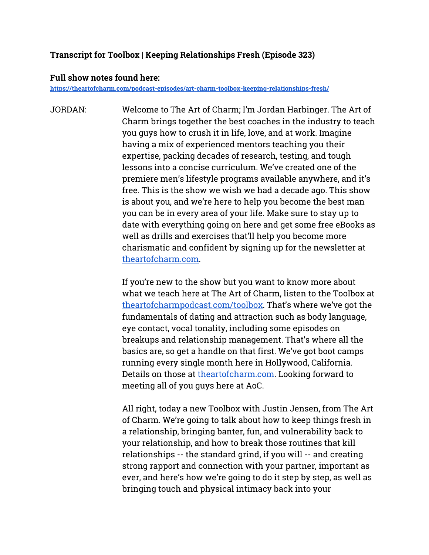## **Transcript for Toolbox | Keeping Relationships Fresh (Episode 323)**

#### **Full show notes found here:**

**<https://theartofcharm.com/podcast-episodes/art-charm-toolbox-keeping-relationships-fresh/>** 

JORDAN: Welcome to The Art of Charm; I'm Jordan Harbinger. The Art of Charm brings together the best coaches in the industry to teach you guys how to crush it in life, love, and at work. Imagine having a mix of experienced mentors teaching you their expertise, packing decades of research, testing, and tough lessons into a concise curriculum. We've created one of the premiere men's lifestyle programs available anywhere, and it's free. This is the show we wish we had a decade ago. This show is about you, and we're here to help you become the best man you can be in every area of your life. Make sure to stay up to date with everything going on here and get some free eBooks as well as drills and exercises that'll help you become more charismatic and confident by signing up for the newsletter at [theartofcharm.com.](http://theartofcharm.com/)

> If you're new to the show but you want to know more about what we teach here at The Art of Charm, listen to the Toolbox a[t](http://theartofcharmpodcast.com/toolbox)  [theartofcharmpodcast.com/toolbox](http://theartofcharmpodcast.com/toolbox). That's where we've got the fundamentals of dating and attraction such as body language, eye contact, vocal tonality, including some episodes on breakups and relationship management. That's where all the basics are, so get a handle on that first. We've got boot camps running every single month here in Hollywood, California. Details on those at [theartofcharm.com](http://theartofcharm.com/). Looking forward to meeting all of you guys here at AoC.

> All right, today a new Toolbox with Justin Jensen, from The Art of Charm. We're going to talk about how to keep things fresh in a relationship, bringing banter, fun, and vulnerability back to your relationship, and how to break those routines that kill relationships -- the standard grind, if you will -- and creating strong rapport and connection with your partner, important as ever, and here's how we're going to do it step by step, as well as bringing touch and physical intimacy back into your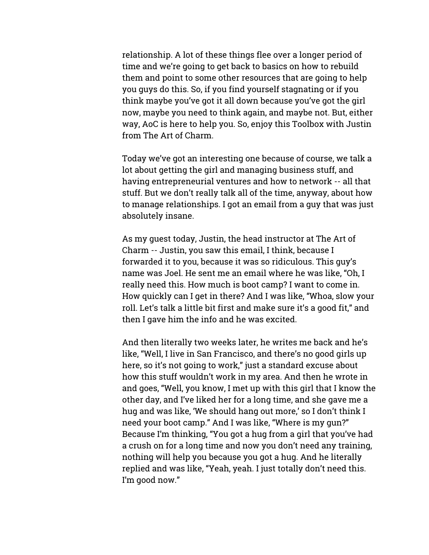relationship. A lot of these things flee over a longer period of time and we're going to get back to basics on how to rebuild them and point to some other resources that are going to help you guys do this. So, if you find yourself stagnating or if you think maybe you've got it all down because you've got the girl now, maybe you need to think again, and maybe not. But, either way, AoC is here to help you. So, enjoy this Toolbox with Justin from The Art of Charm.

Today we've got an interesting one because of course, we talk a lot about getting the girl and managing business stuff, and having entrepreneurial ventures and how to network -- all that stuff. But we don't really talk all of the time, anyway, about how to manage relationships. I got an email from a guy that was just absolutely insane.

As my guest today, Justin, the head instructor at The Art of Charm -- Justin, you saw this email, I think, because I forwarded it to you, because it was so ridiculous. This guy's name was Joel. He sent me an email where he was like, "Oh, I really need this. How much is boot camp? I want to come in. How quickly can I get in there? And I was like, "Whoa, slow your roll. Let's talk a little bit first and make sure it's a good fit," and then I gave him the info and he was excited.

And then literally two weeks later, he writes me back and he's like, "Well, I live in San Francisco, and there's no good girls up here, so it's not going to work," just a standard excuse about how this stuff wouldn't work in my area. And then he wrote in and goes, "Well, you know, I met up with this girl that I know the other day, and I've liked her for a long time, and she gave me a hug and was like, 'We should hang out more,' so I don't think I need your boot camp." And I was like, "Where is my gun?" Because I'm thinking, "You got a hug from a girl that you've had a crush on for a long time and now you don't need any training, nothing will help you because you got a hug. And he literally replied and was like, "Yeah, yeah. I just totally don't need this. I'm good now."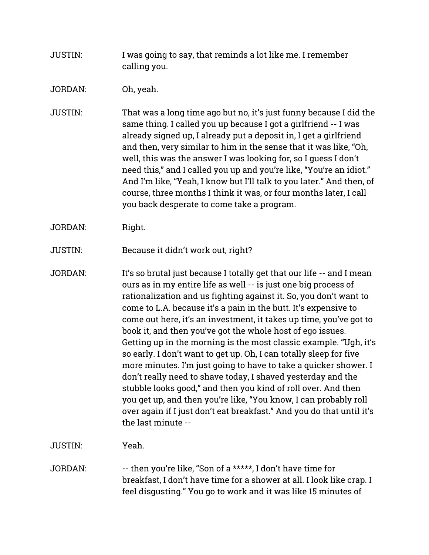- JUSTIN: I was going to say, that reminds a lot like me. I remember calling you.
- JORDAN: Oh, yeah.
- JUSTIN: That was a long time ago but no, it's just funny because I did the same thing. I called you up because I got a girlfriend -- I was already signed up, I already put a deposit in, I get a girlfriend and then, very similar to him in the sense that it was like, "Oh, well, this was the answer I was looking for, so I quess I don't need this," and I called you up and you're like, "You're an idiot." And I'm like, "Yeah, I know but I'll talk to you later." And then, of course, three months I think it was, or four months later, I call you back desperate to come take a program.
- JORDAN: Right.
- JUSTIN: Because it didn't work out, right?
- JORDAN: It's so brutal just because I totally get that our life -- and I mean ours as in my entire life as well -- is just one big process of rationalization and us fighting against it. So, you don't want to come to L.A. because it's a pain in the butt. It's expensive to come out here, it's an investment, it takes up time, you've got to book it, and then you've got the whole host of ego issues. Getting up in the morning is the most classic example. "Ugh, it's so early. I don't want to get up. Oh, I can totally sleep for five more minutes. I'm just going to have to take a quicker shower. I don't really need to shave today, I shaved yesterday and the stubble looks good," and then you kind of roll over. And then you get up, and then you're like, "You know, I can probably roll over again if I just don't eat breakfast." And you do that until it's the last minute --

JUSTIN: Yeah.

JORDAN: --- then you're like, "Son of a \*\*\*\*\*, I don't have time for breakfast, I don't have time for a shower at all. I look like crap. I feel disgusting." You go to work and it was like 15 minutes of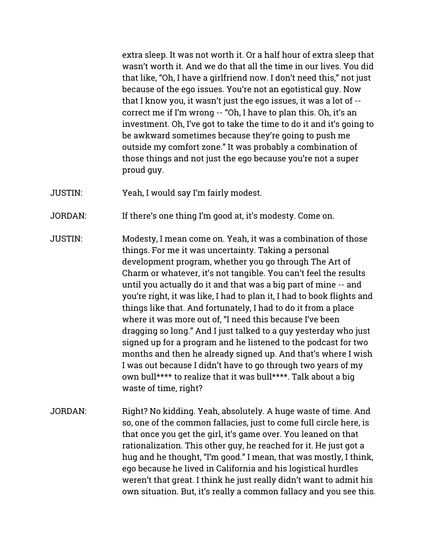extra sleep. It was not worth it. Or a half hour of extra sleep that wasn't worth it. And we do that all the time in our lives. You did that like, "Oh, I have a girlfriend now. I don't need this," not just because of the ego issues. You're not an egotistical guy. Now that I know you, it wasn't just the ego issues, it was a lot of  $$ correct me if I'm wrong -- "Oh, I have to plan this. Oh, it's an investment. Oh, I've got to take the time to do it and it's going to be awkward sometimes because they're going to push me outside my comfort zone." It was probably a combination of those things and not just the ego because you're not a super proud guy.

- JUSTIN: Yeah, I would say I'm fairly modest.
- JORDAN: If there's one thing I'm good at, it's modesty. Come on.
- JUSTIN: Modesty, I mean come on. Yeah, it was a combination of those things. For me it was uncertainty. Taking a personal development program, whether you go through The Art of Charm or whatever, it's not tangible. You can't feel the results until you actually do it and that was a big part of mine -- and you're right, it was like, I had to plan it, I had to book flights and things like that. And fortunately, I had to do it from a place where it was more out of, "I need this because I've been dragging so long." And I just talked to a guy yesterday who just signed up for a program and he listened to the podcast for two months and then he already signed up. And that's where I wish I was out because I didn't have to go through two years of my own bull\*\*\*\* to realize that it was bull\*\*\*\*. Talk about a big waste of time, right?
- JORDAN: Right? No kidding. Yeah, absolutely. A huge waste of time. And so, one of the common fallacies, just to come full circle here, is that once you get the girl, it's game over. You leaned on that rationalization. This other guy, he reached for it. He just got a hug and he thought, "I'm good." I mean, that was mostly, I think, ego because he lived in California and his logistical hurdles weren't that great. I think he just really didn't want to admit his own situation. But, it's really a common fallacy and you see this.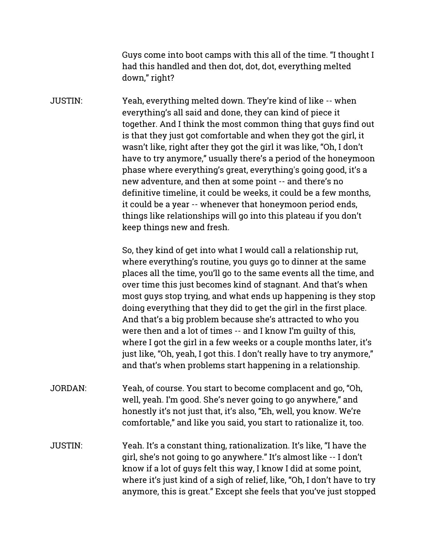Guys come into boot camps with this all of the time. "I thought I had this handled and then dot, dot, dot, everything melted down," right?

JUSTIN: Yeah, everything melted down. They're kind of like -- when everything's all said and done, they can kind of piece it together. And I think the most common thing that guys find out is that they just got comfortable and when they got the girl, it wasn't like, right after they got the girl it was like, "Oh, I don't have to try anymore," usually there's a period of the honeymoon phase where everything's great, everything's going good, it's a new adventure, and then at some point -- and there's no definitive timeline, it could be weeks, it could be a few months, it could be a year -- whenever that honeymoon period ends, things like relationships will go into this plateau if you don't keep things new and fresh.

> So, they kind of get into what I would call a relationship rut, where everything's routine, you guys go to dinner at the same places all the time, you'll go to the same events all the time, and over time this just becomes kind of stagnant. And that's when most guys stop trying, and what ends up happening is they stop doing everything that they did to get the girl in the first place. And that's a big problem because she's attracted to who you were then and a lot of times -- and I know I'm guilty of this, where I got the girl in a few weeks or a couple months later, it's just like, "Oh, yeah, I got this. I don't really have to try anymore," and that's when problems start happening in a relationship.

- JORDAN: Yeah, of course. You start to become complacent and go, "Oh, well, yeah. I'm good. She's never going to go anywhere," and honestly it's not just that, it's also, "Eh, well, you know. We're comfortable," and like you said, you start to rationalize it, too.
- JUSTIN: Yeah. It's a constant thing, rationalization. It's like, "I have the girl, she's not going to go anywhere." It's almost like -- I don't know if a lot of guys felt this way, I know I did at some point, where it's just kind of a sigh of relief, like, "Oh, I don't have to try anymore, this is great." Except she feels that you've just stopped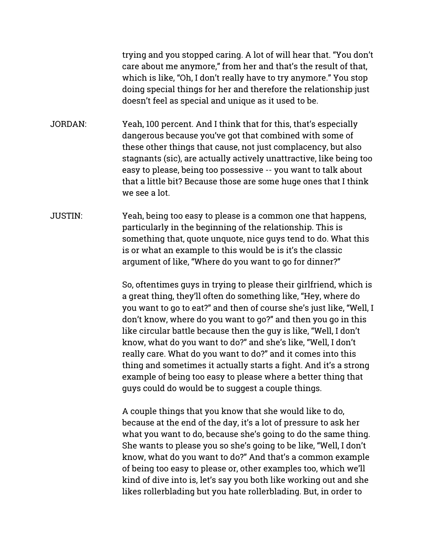trying and you stopped caring. A lot of will hear that. "You don't care about me anymore," from her and that's the result of that, which is like, "Oh, I don't really have to try anymore." You stop doing special things for her and therefore the relationship just doesn't feel as special and unique as it used to be.

JORDAN: Yeah, 100 percent. And I think that for this, that's especially dangerous because you've got that combined with some of these other things that cause, not just complacency, but also stagnants (sic), are actually actively unattractive, like being too easy to please, being too possessive -- you want to talk about that a little bit? Because those are some huge ones that I think we see a lot.

JUSTIN: Yeah, being too easy to please is a common one that happens, particularly in the beginning of the relationship. This is something that, quote unquote, nice guys tend to do. What this is or what an example to this would be is it's the classic argument of like, "Where do you want to go for dinner?"

> So, oftentimes guys in trying to please their girlfriend, which is a great thing, they'll often do something like, "Hey, where do you want to go to eat?" and then of course she's just like, "Well, I don't know, where do you want to go?" and then you go in this like circular battle because then the guy is like, "Well, I don't know, what do you want to do?" and she's like, "Well, I don't really care. What do you want to do?" and it comes into this thing and sometimes it actually starts a fight. And it's a strong example of being too easy to please where a better thing that guys could do would be to suggest a couple things.

A couple things that you know that she would like to do, because at the end of the day, it's a lot of pressure to ask her what you want to do, because she's going to do the same thing. She wants to please you so she's going to be like, "Well, I don't know, what do you want to do?" And that's a common example of being too easy to please or, other examples too, which we'll kind of dive into is, let's say you both like working out and she likes rollerblading but you hate rollerblading. But, in order to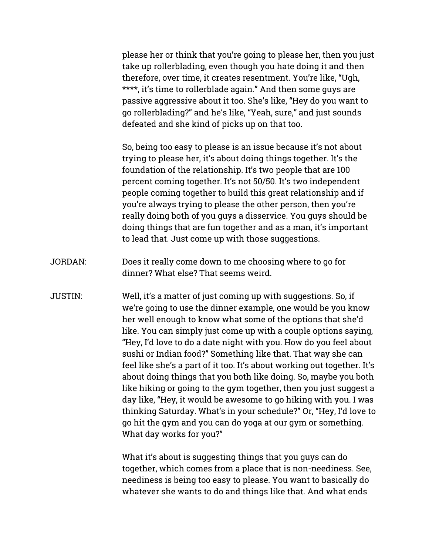please her or think that you're going to please her, then you just take up rollerblading, even though you hate doing it and then therefore, over time, it creates resentment. You're like, "Ugh, \*\*\*\*, it's time to rollerblade again." And then some guys are passive aggressive about it too. She's like, "Hey do you want to go rollerblading?" and he's like, "Yeah, sure," and just sounds defeated and she kind of picks up on that too.

So, being too easy to please is an issue because it's not about trying to please her, it's about doing things together. It's the foundation of the relationship. It's two people that are 100 percent coming together. It's not 50/50. It's two independent people coming together to build this great relationship and if you're always trying to please the other person, then you're really doing both of you guys a disservice. You guys should be doing things that are fun together and as a man, it's important to lead that. Just come up with those suggestions.

- JORDAN: Does it really come down to me choosing where to go for dinner? What else? That seems weird.
- JUSTIN: Well, it's a matter of just coming up with suggestions. So, if we're going to use the dinner example, one would be you know her well enough to know what some of the options that she'd like. You can simply just come up with a couple options saying, "Hey, I'd love to do a date night with you. How do you feel about sushi or Indian food?" Something like that. That way she can feel like she's a part of it too. It's about working out together. It's about doing things that you both like doing. So, maybe you both like hiking or going to the gym together, then you just suggest a day like, "Hey, it would be awesome to go hiking with you. I was thinking Saturday. What's in your schedule?" Or, "Hey, I'd love to go hit the gym and you can do yoga at our gym or something. What day works for you?"

What it's about is suggesting things that you guys can do together, which comes from a place that is non-neediness. See, neediness is being too easy to please. You want to basically do whatever she wants to do and things like that. And what ends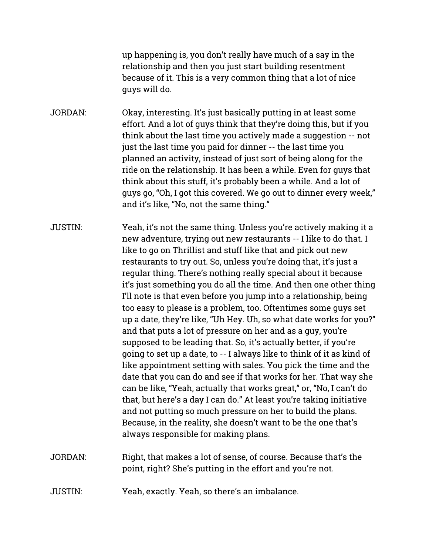up happening is, you don't really have much of a say in the relationship and then you just start building resentment because of it. This is a very common thing that a lot of nice guys will do.

JORDAN: Okay, interesting. It's just basically putting in at least some effort. And a lot of guys think that they're doing this, but if you think about the last time you actively made a suggestion -- not just the last time you paid for dinner -- the last time you planned an activity, instead of just sort of being along for the ride on the relationship. It has been a while. Even for guys that think about this stuff, it's probably been a while. And a lot of guys go, "Oh, I got this covered. We go out to dinner every week," and it's like, "No, not the same thing."

JUSTIN: Yeah, it's not the same thing. Unless you're actively making it a new adventure, trying out new restaurants -- I like to do that. I like to go on Thrillist and stuff like that and pick out new restaurants to try out. So, unless you're doing that, it's just a regular thing. There's nothing really special about it because it's just something you do all the time. And then one other thing I'll note is that even before you jump into a relationship, being too easy to please is a problem, too. Oftentimes some guys set up a date, they're like, "Uh Hey. Uh, so what date works for you?" and that puts a lot of pressure on her and as a guy, you're supposed to be leading that. So, it's actually better, if you're going to set up a date, to -- I always like to think of it as kind of like appointment setting with sales. You pick the time and the date that you can do and see if that works for her. That way she can be like, "Yeah, actually that works great," or, "No, I can't do that, but here's a day I can do." At least you're taking initiative and not putting so much pressure on her to build the plans. Because, in the reality, she doesn't want to be the one that's always responsible for making plans.

JORDAN: Right, that makes a lot of sense, of course. Because that's the point, right? She's putting in the effort and you're not.

JUSTIN: Yeah, exactly. Yeah, so there's an imbalance.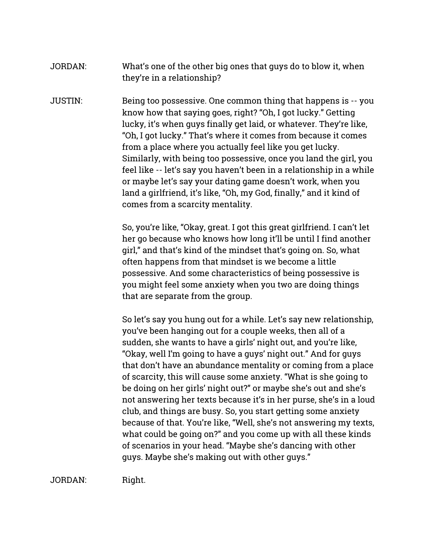# JORDAN: What's one of the other big ones that guys do to blow it, when they're in a relationship?

JUSTIN: Being too possessive. One common thing that happens is -- you know how that saying goes, right? "Oh, I got lucky." Getting lucky, it's when guys finally get laid, or whatever. They're like, "Oh, I got lucky." That's where it comes from because it comes from a place where you actually feel like you get lucky. Similarly, with being too possessive, once you land the girl, you feel like -- let's say you haven't been in a relationship in a while or maybe let's say your dating game doesn't work, when you land a girlfriend, it's like, "Oh, my God, finally," and it kind of comes from a scarcity mentality.

> So, you're like, "Okay, great. I got this great girlfriend. I can't let her go because who knows how long it'll be until I find another girl," and that's kind of the mindset that's going on. So, what often happens from that mindset is we become a little possessive. And some characteristics of being possessive is you might feel some anxiety when you two are doing things that are separate from the group.

So let's say you hung out for a while. Let's say new relationship, you've been hanging out for a couple weeks, then all of a sudden, she wants to have a girls' night out, and you're like, "Okay, well I'm going to have a guys' night out." And for guys that don't have an abundance mentality or coming from a place of scarcity, this will cause some anxiety. "What is she going to be doing on her girls' night out?" or maybe she's out and she's not answering her texts because it's in her purse, she's in a loud club, and things are busy. So, you start getting some anxiety because of that. You're like, "Well, she's not answering my texts, what could be going on?" and you come up with all these kinds of scenarios in your head. "Maybe she's dancing with other guys. Maybe she's making out with other guys."

JORDAN: Right.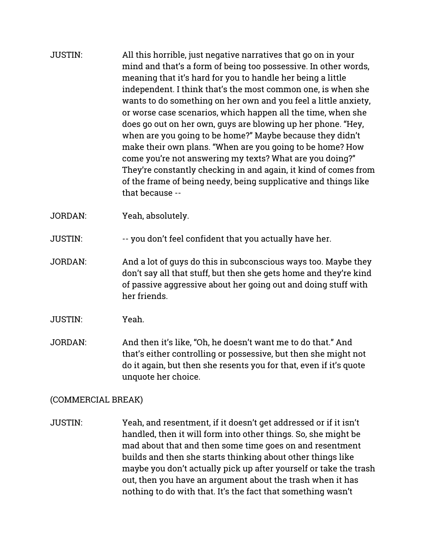- JUSTIN: All this horrible, just negative narratives that go on in your mind and that's a form of being too possessive. In other words, meaning that it's hard for you to handle her being a little independent. I think that's the most common one, is when she wants to do something on her own and you feel a little anxiety, or worse case scenarios, which happen all the time, when she does go out on her own, guys are blowing up her phone. "Hey, when are you going to be home?" Maybe because they didn't make their own plans. "When are you going to be home? How come you're not answering my texts? What are you doing?" They're constantly checking in and again, it kind of comes from of the frame of being needy, being supplicative and things like that because --
- JORDAN: Yeah, absolutely.
- JUSTIN: -- you don't feel confident that you actually have her.
- JORDAN: And a lot of guys do this in subconscious ways too. Maybe they don't say all that stuff, but then she gets home and they're kind of passive aggressive about her going out and doing stuff with her friends.
- JUSTIN: Yeah.
- JORDAN: And then it's like, "Oh, he doesn't want me to do that." And that's either controlling or possessive, but then she might not do it again, but then she resents you for that, even if it's quote unquote her choice.

#### (COMMERCIAL BREAK)

JUSTIN: Yeah, and resentment, if it doesn't get addressed or if it isn't handled, then it will form into other things. So, she might be mad about that and then some time goes on and resentment builds and then she starts thinking about other things like maybe you don't actually pick up after yourself or take the trash out, then you have an argument about the trash when it has nothing to do with that. It's the fact that something wasn't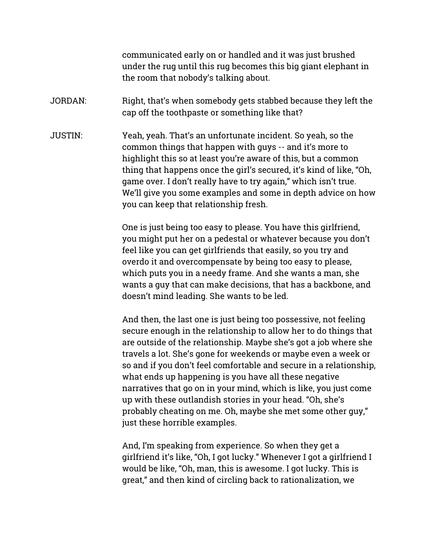communicated early on or handled and it was just brushed under the rug until this rug becomes this big giant elephant in the room that nobody's talking about.

JORDAN: Right, that's when somebody gets stabbed because they left the cap off the toothpaste or something like that?

JUSTIN: Yeah, yeah. Thatũs an unfortunate incident. So yeah, so the common things that happen with guys -- and it's more to highlight this so at least you're aware of this, but a common thing that happens once the girl's secured, it's kind of like, "Oh, game over. I don't really have to try again," which isn't true. We'll give you some examples and some in depth advice on how you can keep that relationship fresh.

> One is just being too easy to please. You have this girlfriend, you might put her on a pedestal or whatever because you don't feel like you can get girlfriends that easily, so you try and overdo it and overcompensate by being too easy to please, which puts you in a needy frame. And she wants a man, she wants a guy that can make decisions, that has a backbone, and doesn't mind leading. She wants to be led.

And then, the last one is just being too possessive, not feeling secure enough in the relationship to allow her to do things that are outside of the relationship. Maybe she's got a job where she travels a lot. She's gone for weekends or maybe even a week or so and if you don't feel comfortable and secure in a relationship, what ends up happening is you have all these negative narratives that go on in your mind, which is like, you just come up with these outlandish stories in your head. "Oh, she's probably cheating on me. Oh, maybe she met some other guy," just these horrible examples.

And, I'm speaking from experience. So when they get a girlfriend it's like, "Oh, I got lucky." Whenever I got a girlfriend I would be like, "Oh, man, this is awesome. I got lucky. This is great," and then kind of circling back to rationalization, we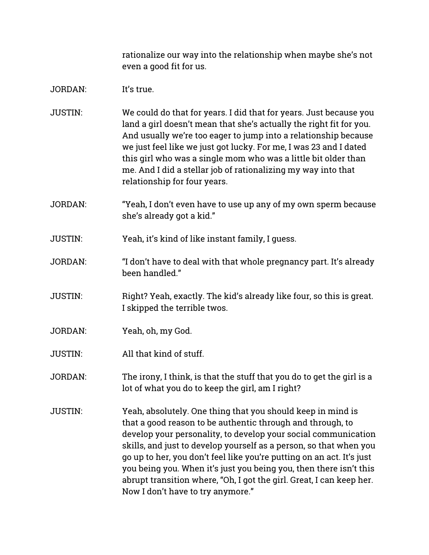rationalize our way into the relationship when maybe she's not even a good fit for us.

## JORDAN: It's true.

- JUSTIN: We could do that for years. I did that for years. Just because you land a girl doesn't mean that she's actually the right fit for you. And usually we're too eager to jump into a relationship because we just feel like we just got lucky. For me, I was 23 and I dated this girl who was a single mom who was a little bit older than me. And I did a stellar job of rationalizing my way into that relationship for four years.
- JORDAN: "Yeah, I don't even have to use up any of my own sperm because she's already got a kid."
- JUSTIN: Yeah, it's kind of like instant family, I guess.
- JORDAN: "I don't have to deal with that whole pregnancy part. It's already been handled."
- JUSTIN: Right? Yeah, exactly. The kid's already like four, so this is great. I skipped the terrible twos.
- JORDAN: Yeah, oh, my God.
- JUSTIN: All that kind of stuff.
- JORDAN: The irony, I think, is that the stuff that you do to get the girl is a lot of what you do to keep the girl, am I right?
- JUSTIN: Yeah, absolutely. One thing that you should keep in mind is that a good reason to be authentic through and through, to develop your personality, to develop your social communication skills, and just to develop yourself as a person, so that when you go up to her, you don't feel like you're putting on an act. It's just you being you. When it's just you being you, then there isn't this abrupt transition where, "Oh, I got the girl. Great, I can keep her. Now I don't have to try anymore."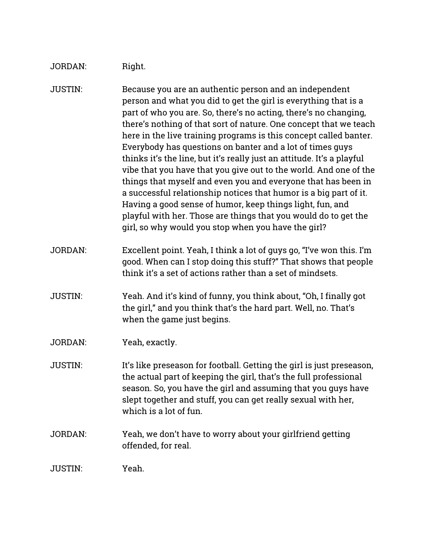# JORDAN: Right.

| JUSTIN:        | Because you are an authentic person and an independent<br>person and what you did to get the girl is everything that is a<br>part of who you are. So, there's no acting, there's no changing,<br>there's nothing of that sort of nature. One concept that we teach<br>here in the live training programs is this concept called banter.<br>Everybody has questions on banter and a lot of times guys<br>thinks it's the line, but it's really just an attitude. It's a playful<br>vibe that you have that you give out to the world. And one of the<br>things that myself and even you and everyone that has been in<br>a successful relationship notices that humor is a big part of it.<br>Having a good sense of humor, keep things light, fun, and<br>playful with her. Those are things that you would do to get the<br>girl, so why would you stop when you have the girl? |
|----------------|----------------------------------------------------------------------------------------------------------------------------------------------------------------------------------------------------------------------------------------------------------------------------------------------------------------------------------------------------------------------------------------------------------------------------------------------------------------------------------------------------------------------------------------------------------------------------------------------------------------------------------------------------------------------------------------------------------------------------------------------------------------------------------------------------------------------------------------------------------------------------------|
| JORDAN:        | Excellent point. Yeah, I think a lot of guys go, "I've won this. I'm<br>good. When can I stop doing this stuff?" That shows that people<br>think it's a set of actions rather than a set of mindsets.                                                                                                                                                                                                                                                                                                                                                                                                                                                                                                                                                                                                                                                                            |
| JUSTIN:        | Yeah. And it's kind of funny, you think about, "Oh, I finally got<br>the girl," and you think that's the hard part. Well, no. That's<br>when the game just begins.                                                                                                                                                                                                                                                                                                                                                                                                                                                                                                                                                                                                                                                                                                               |
| JORDAN:        | Yeah, exactly.                                                                                                                                                                                                                                                                                                                                                                                                                                                                                                                                                                                                                                                                                                                                                                                                                                                                   |
| JUSTIN:        | It's like preseason for football. Getting the girl is just preseason,<br>the actual part of keeping the girl, that's the full professional<br>season. So, you have the girl and assuming that you guys have<br>slept together and stuff, you can get really sexual with her,<br>which is a lot of fun.                                                                                                                                                                                                                                                                                                                                                                                                                                                                                                                                                                           |
| JORDAN:        | Yeah, we don't have to worry about your girlfriend getting<br>offended, for real.                                                                                                                                                                                                                                                                                                                                                                                                                                                                                                                                                                                                                                                                                                                                                                                                |
| <b>JUSTIN:</b> | Yeah.                                                                                                                                                                                                                                                                                                                                                                                                                                                                                                                                                                                                                                                                                                                                                                                                                                                                            |
|                |                                                                                                                                                                                                                                                                                                                                                                                                                                                                                                                                                                                                                                                                                                                                                                                                                                                                                  |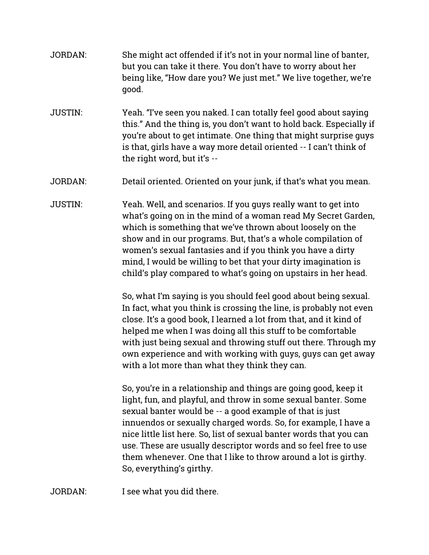- JORDAN: She might act offended if it's not in your normal line of banter, but you can take it there. You don't have to worry about her being like, "How dare you? We just met." We live together, we're good.
- JUSTIN: Yeah. "I've seen you naked. I can totally feel good about saying this." And the thing is, you don't want to hold back. Especially if you're about to get intimate. One thing that might surprise guys is that, girls have a way more detail oriented -- I can't think of the right word, but it's --
- JORDAN: Detail oriented. Oriented on your junk, if that's what you mean.
- JUSTIN: Yeah. Well, and scenarios. If you guys really want to get into what's going on in the mind of a woman read My Secret Garden, which is something that we've thrown about loosely on the show and in our programs. But, that's a whole compilation of women's sexual fantasies and if you think you have a dirty mind, I would be willing to bet that your dirty imagination is child's play compared to what's going on upstairs in her head.

So, what I'm saying is you should feel good about being sexual. In fact, what you think is crossing the line, is probably not even close. It's a good book, I learned a lot from that, and it kind of helped me when I was doing all this stuff to be comfortable with just being sexual and throwing stuff out there. Through my own experience and with working with guys, guys can get away with a lot more than what they think they can.

So, you're in a relationship and things are going good, keep it light, fun, and playful, and throw in some sexual banter. Some sexual banter would be -- a good example of that is just innuendos or sexually charged words. So, for example, I have a nice little list here. So, list of sexual banter words that you can use. These are usually descriptor words and so feel free to use them whenever. One that I like to throw around a lot is girthy. So, everything's girthy.

JORDAN: I see what you did there.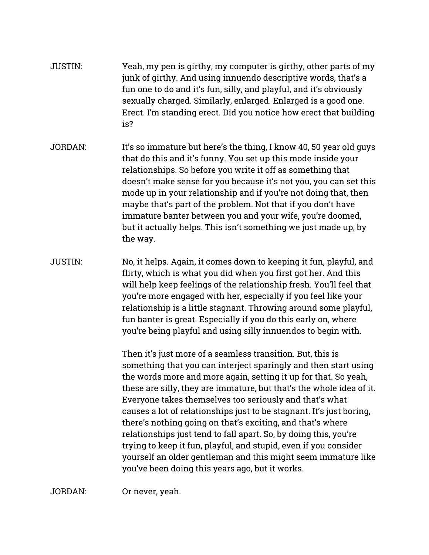- JUSTIN: Yeah, my pen is girthy, my computer is girthy, other parts of my junk of girthy. And using innuendo descriptive words, that's a fun one to do and it's fun, silly, and playful, and it's obviously sexually charged. Similarly, enlarged. Enlarged is a good one. Erect. I'm standing erect. Did you notice how erect that building is?
- JORDAN: It's so immature but here's the thing, I know 40, 50 year old guys that do this and it's funny. You set up this mode inside your relationships. So before you write it off as something that doesn't make sense for you because it's not you, you can set this mode up in your relationship and if you're not doing that, then maybe that's part of the problem. Not that if you don't have immature banter between you and your wife, you're doomed, but it actually helps. This isn't something we just made up, by the way.
- JUSTIN: No, it helps. Again, it comes down to keeping it fun, playful, and flirty, which is what you did when you first got her. And this will help keep feelings of the relationship fresh. You'll feel that you're more engaged with her, especially if you feel like your relationship is a little stagnant. Throwing around some playful, fun banter is great. Especially if you do this early on, where you're being playful and using silly innuendos to begin with.

Then it's just more of a seamless transition. But, this is something that you can interject sparingly and then start using the words more and more again, setting it up for that. So yeah, these are silly, they are immature, but that's the whole idea of it. Everyone takes themselves too seriously and that's what causes a lot of relationships just to be stagnant. It's just boring, there's nothing going on that's exciting, and that's where relationships just tend to fall apart. So, by doing this, you're trying to keep it fun, playful, and stupid, even if you consider yourself an older gentleman and this might seem immature like you've been doing this years ago, but it works.

JORDAN: Or never, yeah.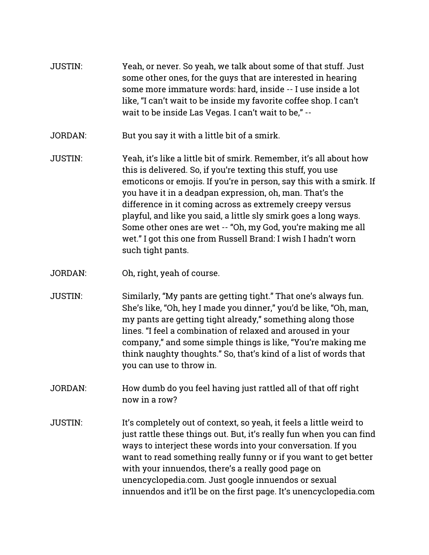- JUSTIN: Yeah, or never. So yeah, we talk about some of that stuff. Just some other ones, for the guys that are interested in hearing some more immature words: hard, inside -- I use inside a lot like, "I can't wait to be inside my favorite coffee shop. I can't wait to be inside Las Vegas. I can't wait to be," --
- JORDAN: But you say it with a little bit of a smirk.
- JUSTIN: Yeah, it's like a little bit of smirk. Remember, it's all about how this is delivered. So, if you're texting this stuff, you use emoticons or emojis. If you're in person, say this with a smirk. If you have it in a deadpan expression, oh, man. That's the difference in it coming across as extremely creepy versus playful, and like you said, a little sly smirk goes a long ways. Some other ones are wet -- "Oh, my God, you're making me all wet." I got this one from Russell Brand: I wish I hadn't worn such tight pants.
- JORDAN: Oh, right, yeah of course.
- JUSTIN: Similarly, "My pants are getting tight." That one's always fun. She's like, "Oh, hey I made you dinner," you'd be like, "Oh, man, my pants are getting tight already," something along those lines. "I feel a combination of relaxed and aroused in your company," and some simple things is like, "You're making me think naughty thoughts." So, that's kind of a list of words that you can use to throw in.
- JORDAN: How dumb do you feel having just rattled all of that off right now in a row?
- JUSTIN: It's completely out of context, so yeah, it feels a little weird to just rattle these things out. But, it's really fun when you can find ways to interject these words into your conversation. If you want to read something really funny or if you want to get better with your innuendos, there's a really good page on unencyclopedia.com. Just google innuendos or sexual innuendos and it'll be on the first page. It's unencyclopedia.com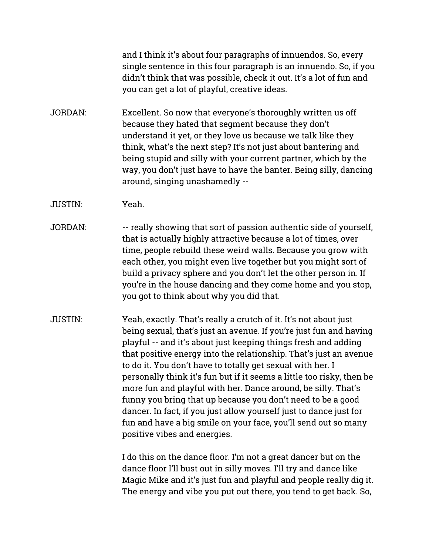and I think it's about four paragraphs of innuendos. So, every single sentence in this four paragraph is an innuendo. So, if you didn't think that was possible, check it out. It's a lot of fun and you can get a lot of playful, creative ideas.

- JORDAN: Excellent. So now that everyone's thoroughly written us off because they hated that segment because they don't understand it yet, or they love us because we talk like they think, what's the next step? It's not just about bantering and being stupid and silly with your current partner, which by the way, you don't just have to have the banter. Being silly, dancing around, singing unashamedly --
- JUSTIN: Yeah.
- JORDAN: -- really showing that sort of passion authentic side of yourself, that is actually highly attractive because a lot of times, over time, people rebuild these weird walls. Because you grow with each other, you might even live together but you might sort of build a privacy sphere and you don't let the other person in. If you're in the house dancing and they come home and you stop, you got to think about why you did that.
- JUSTIN: Yeah, exactly. That's really a crutch of it. It's not about just being sexual, that's just an avenue. If you're just fun and having playful -- and it's about just keeping things fresh and adding that positive energy into the relationship. That's just an avenue to do it. You don't have to totally get sexual with her. I personally think it's fun but if it seems a little too risky, then be more fun and playful with her. Dance around, be silly. That's funny you bring that up because you don't need to be a good dancer. In fact, if you just allow yourself just to dance just for fun and have a big smile on your face, you'll send out so many positive vibes and energies.

I do this on the dance floor. I'm not a great dancer but on the dance floor I'll bust out in silly moves. I'll try and dance like Magic Mike and it's just fun and playful and people really dig it. The energy and vibe you put out there, you tend to get back. So,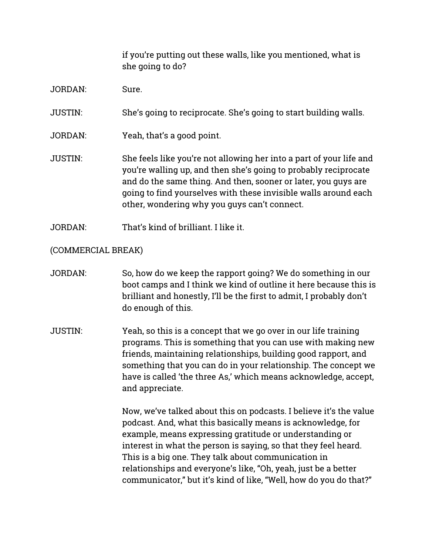if you're putting out these walls, like you mentioned, what is she going to do?

### JORDAN: Sure.

JUSTIN: She's going to reciprocate. She's going to start building walls.

- JORDAN: Yeah, that's a good point.
- JUSTIN: She feels like you're not allowing her into a part of your life and you're walling up, and then she's going to probably reciprocate and do the same thing. And then, sooner or later, you guys are going to find yourselves with these invisible walls around each other, wondering why you guys can't connect.
- JORDAN: That's kind of brilliant. I like it.

(COMMERCIAL BREAK)

- JORDAN: So, how do we keep the rapport going? We do something in our boot camps and I think we kind of outline it here because this is brilliant and honestly, I'll be the first to admit, I probably don't do enough of this.
- JUSTIN: Yeah, so this is a concept that we go over in our life training programs. This is something that you can use with making new friends, maintaining relationships, building good rapport, and something that you can do in your relationship. The concept we have is called 'the three As,' which means acknowledge, accept, and appreciate.

Now, we've talked about this on podcasts. I believe it's the value podcast. And, what this basically means is acknowledge, for example, means expressing gratitude or understanding or interest in what the person is saying, so that they feel heard. This is a big one. They talk about communication in relationships and everyone's like, "Oh, yeah, just be a better communicator," but it's kind of like, "Well, how do you do that?"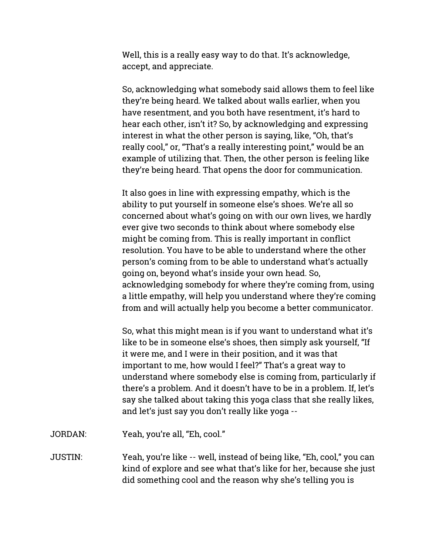Well, this is a really easy way to do that. It's acknowledge, accept, and appreciate.

So, acknowledging what somebody said allows them to feel like they're being heard. We talked about walls earlier, when you have resentment, and you both have resentment, it's hard to hear each other, isn't it? So, by acknowledging and expressing interest in what the other person is saying, like, "Oh, that's really cool," or, "That's a really interesting point," would be an example of utilizing that. Then, the other person is feeling like they're being heard. That opens the door for communication.

It also goes in line with expressing empathy, which is the ability to put yourself in someone else's shoes. We're all so concerned about what's going on with our own lives, we hardly ever give two seconds to think about where somebody else might be coming from. This is really important in conflict resolution. You have to be able to understand where the other person's coming from to be able to understand what's actually going on, beyond what's inside your own head. So, acknowledging somebody for where they're coming from, using a little empathy, will help you understand where they're coming from and will actually help you become a better communicator.

So, what this might mean is if you want to understand what it's like to be in someone else's shoes, then simply ask yourself, "If it were me, and I were in their position, and it was that important to me, how would I feel?" That's a great way to understand where somebody else is coming from, particularly if there's a problem. And it doesn't have to be in a problem. If, let's say she talked about taking this yoga class that she really likes, and let's just say you don't really like yoga --

JORDAN: Yeah, you're all, "Eh, cool."

JUSTIN: Yeah, you're like -- well, instead of being like, "Eh, cool," you can kind of explore and see what that's like for her, because she just did something cool and the reason why she's telling you is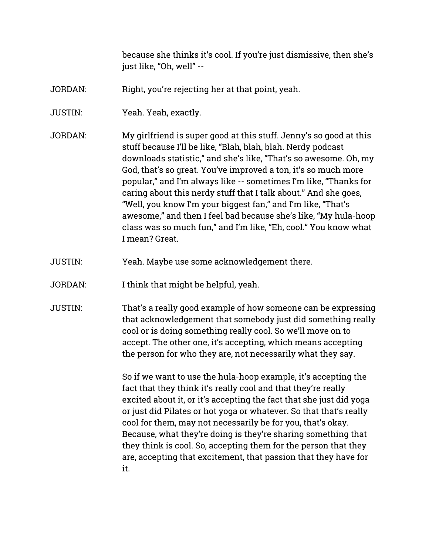because she thinks it's cool. If you're just dismissive, then she's just like, "Oh, well" --

- JORDAN: Right, you're rejecting her at that point, yeah.
- JUSTIN: Yeah. Yeah, exactly.

JORDAN: My girlfriend is super good at this stuff. Jenny's so good at this stuff because I'll be like, "Blah, blah, blah. Nerdy podcast downloads statistic," and she's like, "That's so awesome. Oh, my God, that's so great. You've improved a ton, it's so much more popular," and I'm always like -- sometimes I'm like, "Thanks for caring about this nerdy stuff that I talk about." And she goes, "Well, you know I'm your biggest fan," and I'm like, "That's awesome," and then I feel bad because she's like, "My hula-hoop class was so much fun," and I'm like, "Eh, cool." You know what I mean? Great.

- JUSTIN: Yeah. Maybe use some acknowledgement there.
- JORDAN: I think that might be helpful, yeah.
- JUSTIN: That's a really good example of how someone can be expressing that acknowledgement that somebody just did something really cool or is doing something really cool. So we'll move on to accept. The other one, it's accepting, which means accepting the person for who they are, not necessarily what they say.

So if we want to use the hula-hoop example, it's accepting the fact that they think it's really cool and that they're really excited about it, or it's accepting the fact that she just did yoga or just did Pilates or hot yoga or whatever. So that that's really cool for them, may not necessarily be for you, that's okay. Because, what they're doing is they're sharing something that they think is cool. So, accepting them for the person that they are, accepting that excitement, that passion that they have for it.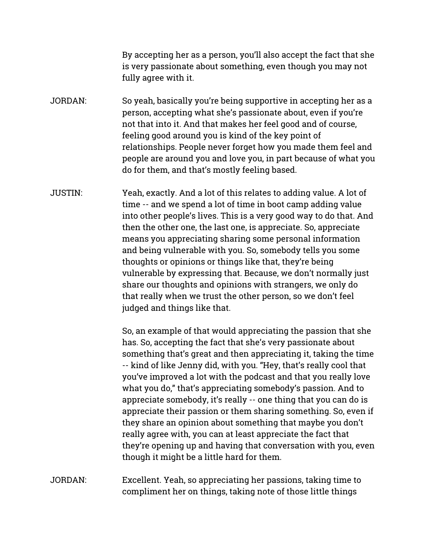By accepting her as a person, you'll also accept the fact that she is very passionate about something, even though you may not fully agree with it.

- JORDAN: So yeah, basically you're being supportive in accepting her as a person, accepting what she's passionate about, even if you're not that into it. And that makes her feel good and of course, feeling good around you is kind of the key point of relationships. People never forget how you made them feel and people are around you and love you, in part because of what you do for them, and that's mostly feeling based.
- JUSTIN: Yeah, exactly. And a lot of this relates to adding value. A lot of time -- and we spend a lot of time in boot camp adding value into other people's lives. This is a very good way to do that. And then the other one, the last one, is appreciate. So, appreciate means you appreciating sharing some personal information and being vulnerable with you. So, somebody tells you some thoughts or opinions or things like that, they're being vulnerable by expressing that. Because, we don't normally just share our thoughts and opinions with strangers, we only do that really when we trust the other person, so we don't feel judged and things like that.

So, an example of that would appreciating the passion that she has. So, accepting the fact that she's very passionate about something that's great and then appreciating it, taking the time -- kind of like Jenny did, with you. "Hey, that's really cool that you've improved a lot with the podcast and that you really love what you do," that's appreciating somebody's passion. And to appreciate somebody, it's really -- one thing that you can do is appreciate their passion or them sharing something. So, even if they share an opinion about something that maybe you don't really agree with, you can at least appreciate the fact that they're opening up and having that conversation with you, even though it might be a little hard for them.

JORDAN: Excellent. Yeah, so appreciating her passions, taking time to compliment her on things, taking note of those little things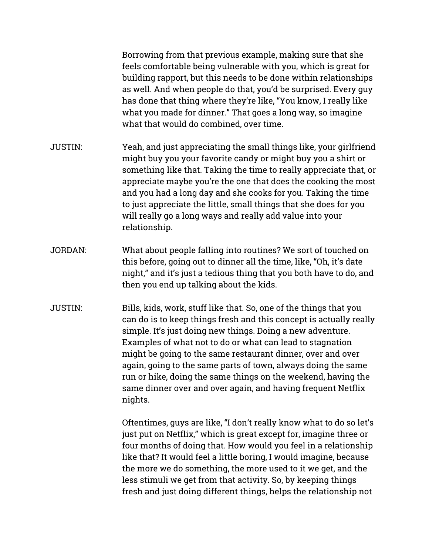Borrowing from that previous example, making sure that she feels comfortable being vulnerable with you, which is great for building rapport, but this needs to be done within relationships as well. And when people do that, you'd be surprised. Every guy has done that thing where they're like, "You know, I really like what you made for dinner." That goes a long way, so imagine what that would do combined, over time.

- JUSTIN: Yeah, and just appreciating the small things like, your girlfriend might buy you your favorite candy or might buy you a shirt or something like that. Taking the time to really appreciate that, or appreciate maybe you're the one that does the cooking the most and you had a long day and she cooks for you. Taking the time to just appreciate the little, small things that she does for you will really go a long ways and really add value into your relationship.
- JORDAN: What about people falling into routines? We sort of touched on this before, going out to dinner all the time, like, "Oh, it's date night," and it's just a tedious thing that you both have to do, and then you end up talking about the kids.
- JUSTIN: Bills, kids, work, stuff like that. So, one of the things that you can do is to keep things fresh and this concept is actually really simple. It's just doing new things. Doing a new adventure. Examples of what not to do or what can lead to stagnation might be going to the same restaurant dinner, over and over again, going to the same parts of town, always doing the same run or hike, doing the same things on the weekend, having the same dinner over and over again, and having frequent Netflix nights.

Oftentimes, guys are like, "I don't really know what to do so let's just put on Netflix," which is great except for, imagine three or four months of doing that. How would you feel in a relationship like that? It would feel a little boring, I would imagine, because the more we do something, the more used to it we get, and the less stimuli we get from that activity. So, by keeping things fresh and just doing different things, helps the relationship not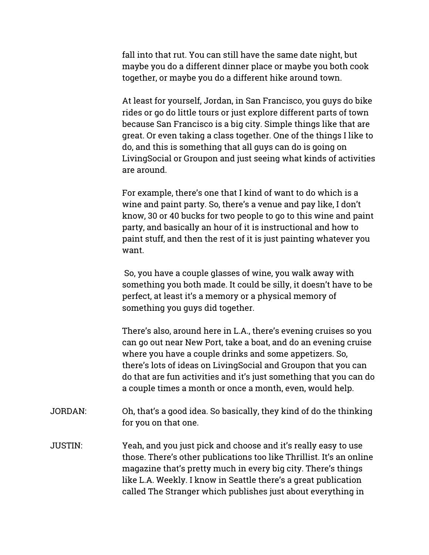fall into that rut. You can still have the same date night, but maybe you do a different dinner place or maybe you both cook together, or maybe you do a different hike around town.

At least for yourself, Jordan, in San Francisco, you guys do bike rides or go do little tours or just explore different parts of town because San Francisco is a big city. Simple things like that are great. Or even taking a class together. One of the things I like to do, and this is something that all guys can do is going on LivingSocial or Groupon and just seeing what kinds of activities are around.

For example, there's one that I kind of want to do which is a wine and paint party. So, there's a venue and pay like, I don't know, 30 or 40 bucks for two people to go to this wine and paint party, and basically an hour of it is instructional and how to paint stuff, and then the rest of it is just painting whatever you want.

 So, you have a couple glasses of wine, you walk away with something you both made. It could be silly, it doesn't have to be perfect, at least it's a memory or a physical memory of something you guys did together.

There's also, around here in L.A., there's evening cruises so you can go out near New Port, take a boat, and do an evening cruise where you have a couple drinks and some appetizers. So, there's lots of ideas on LivingSocial and Groupon that you can do that are fun activities and it's just something that you can do a couple times a month or once a month, even, would help.

- JORDAN: Oh, that's a good idea. So basically, they kind of do the thinking for you on that one.
- JUSTIN: Yeah, and you just pick and choose and it's really easy to use those. There's other publications too like Thrillist. It's an online magazine that's pretty much in every big city. There's things like L.A. Weekly. I know in Seattle there's a great publication called The Stranger which publishes just about everything in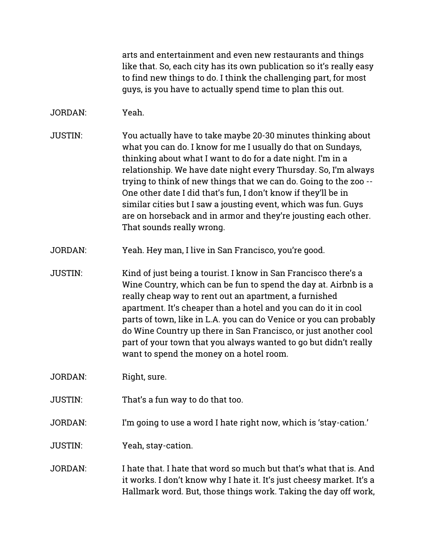arts and entertainment and even new restaurants and things like that. So, each city has its own publication so it's really easy to find new things to do. I think the challenging part, for most guys, is you have to actually spend time to plan this out.

## JORDAN: Yeah.

- JUSTIN: You actually have to take maybe 20-30 minutes thinking about what you can do. I know for me I usually do that on Sundays, thinking about what I want to do for a date night. I'm in a relationship. We have date night every Thursday. So, I'm always trying to think of new things that we can do. Going to the zoo -- One other date I did that's fun, I don't know if they'll be in similar cities but I saw a jousting event, which was fun. Guys are on horseback and in armor and they're jousting each other. That sounds really wrong.
- JORDAN: Yeah. Hey man, I live in San Francisco, you're good.
- JUSTIN: Kind of just being a tourist. I know in San Francisco there's a Wine Country, which can be fun to spend the day at. Airbnb is a really cheap way to rent out an apartment, a furnished apartment. It's cheaper than a hotel and you can do it in cool parts of town, like in L.A. you can do Venice or you can probably do Wine Country up there in San Francisco, or just another cool part of your town that you always wanted to go but didn't really want to spend the money on a hotel room.
- JORDAN: Right, sure.
- JUSTIN: That's a fun way to do that too.
- JORDAN: I'm going to use a word I hate right now, which is 'stay-cation.'
- JUSTIN: Yeah, stay-cation.
- JORDAN: I hate that. I hate that word so much but that's what that is. And it works. I don't know why I hate it. It's just cheesy market. It's a Hallmark word. But, those things work. Taking the day off work,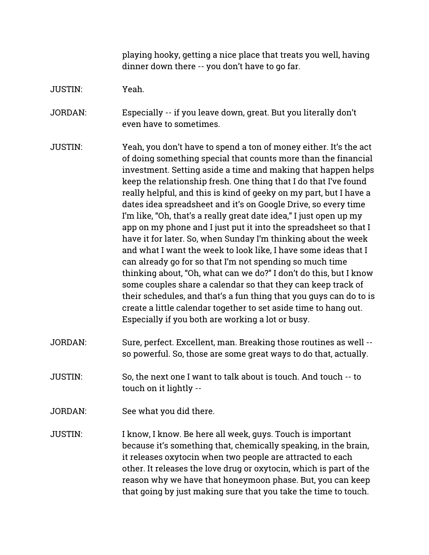playing hooky, getting a nice place that treats you well, having dinner down there -- you don't have to go far.

JUSTIN: Yeah.

JORDAN: Especially -- if you leave down, great. But you literally don't even have to sometimes.

JUSTIN: Yeah, you don't have to spend a ton of money either. It's the act of doing something special that counts more than the financial investment. Setting aside a time and making that happen helps keep the relationship fresh. One thing that I do that I've found really helpful, and this is kind of geeky on my part, but I have a dates idea spreadsheet and it's on Google Drive, so every time I'm like, "Oh, that's a really great date idea," I just open up my app on my phone and I just put it into the spreadsheet so that I have it for later. So, when Sunday I'm thinking about the week and what I want the week to look like, I have some ideas that I can already go for so that I'm not spending so much time thinking about, "Oh, what can we do?" I don't do this, but I know some couples share a calendar so that they can keep track of their schedules, and that's a fun thing that you guys can do to is create a little calendar together to set aside time to hang out. Especially if you both are working a lot or busy.

- JORDAN: Sure, perfect. Excellent, man. Breaking those routines as well so powerful. So, those are some great ways to do that, actually.
- JUSTIN: So, the next one I want to talk about is touch. And touch -- to touch on it lightly --
- JORDAN: See what you did there.
- JUSTIN: I know, I know. Be here all week, guys. Touch is important because it's something that, chemically speaking, in the brain, it releases oxytocin when two people are attracted to each other. It releases the love drug or oxytocin, which is part of the reason why we have that honeymoon phase. But, you can keep that going by just making sure that you take the time to touch.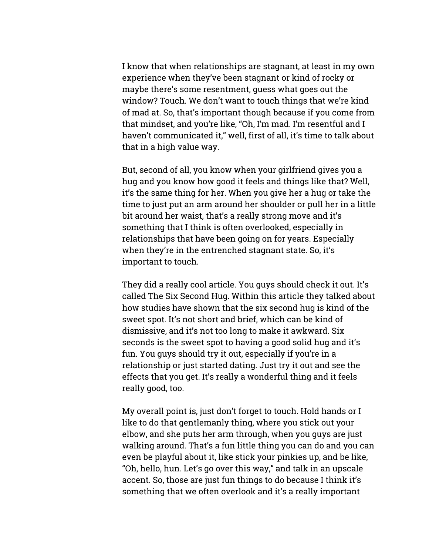I know that when relationships are stagnant, at least in my own experience when they've been stagnant or kind of rocky or maybe there's some resentment, quess what goes out the window? Touch. We don't want to touch things that we're kind of mad at. So, that's important though because if you come from that mindset, and you're like, "Oh, I'm mad. I'm resentful and I haven't communicated it," well, first of all, it's time to talk about that in a high value way.

But, second of all, you know when your girlfriend gives you a hug and you know how good it feels and things like that? Well, it's the same thing for her. When you give her a hug or take the time to just put an arm around her shoulder or pull her in a little bit around her waist, that's a really strong move and it's something that I think is often overlooked, especially in relationships that have been going on for years. Especially when they're in the entrenched stagnant state. So, it's important to touch.

They did a really cool article. You guys should check it out. It's called The Six Second Hug. Within this article they talked about how studies have shown that the six second hug is kind of the sweet spot. It's not short and brief, which can be kind of dismissive, and it's not too long to make it awkward. Six seconds is the sweet spot to having a good solid hug and it's fun. You guys should try it out, especially if you're in a relationship or just started dating. Just try it out and see the effects that you get. It's really a wonderful thing and it feels really good, too.

My overall point is, just don't forget to touch. Hold hands or I like to do that gentlemanly thing, where you stick out your elbow, and she puts her arm through, when you guys are just walking around. That's a fun little thing you can do and you can even be playful about it, like stick your pinkies up, and be like, "Oh, hello, hun. Let's go over this way," and talk in an upscale accent. So, those are just fun things to do because I think it's something that we often overlook and it's a really important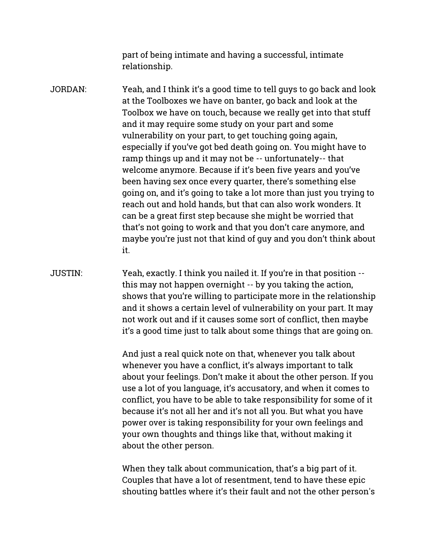part of being intimate and having a successful, intimate relationship.

- JORDAN: Yeah, and I think it's a good time to tell guys to go back and look at the Toolboxes we have on banter, go back and look at the Toolbox we have on touch, because we really get into that stuff and it may require some study on your part and some vulnerability on your part, to get touching going again, especially if you've got bed death going on. You might have to ramp things up and it may not be -- unfortunately-- that welcome anymore. Because if it's been five years and you've been having sex once every quarter, there's something else going on, and it's going to take a lot more than just you trying to reach out and hold hands, but that can also work wonders. It can be a great first step because she might be worried that that's not going to work and that you don't care anymore, and maybe you're just not that kind of guy and you don't think about it.
- JUSTIN: Yeah, exactly. I think you nailed it. If you're in that position -this may not happen overnight -- by you taking the action, shows that you're willing to participate more in the relationship and it shows a certain level of vulnerability on your part. It may not work out and if it causes some sort of conflict, then maybe it's a good time just to talk about some things that are going on.

And just a real quick note on that, whenever you talk about whenever you have a conflict, it's always important to talk about your feelings. Don't make it about the other person. If you use a lot of you language, it's accusatory, and when it comes to conflict, you have to be able to take responsibility for some of it because it's not all her and it's not all you. But what you have power over is taking responsibility for your own feelings and your own thoughts and things like that, without making it about the other person.

When they talk about communication, that's a big part of it. Couples that have a lot of resentment, tend to have these epic shouting battles where it's their fault and not the other person's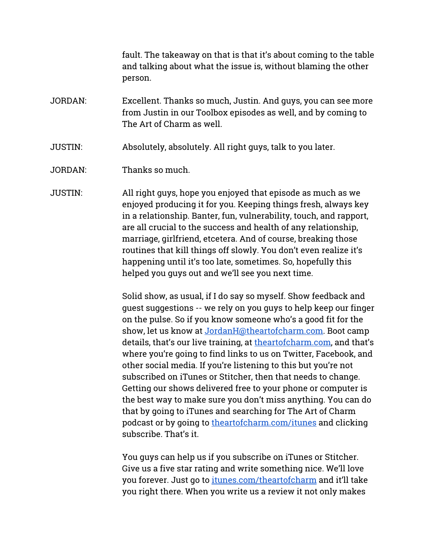fault. The takeaway on that is that it's about coming to the table and talking about what the issue is, without blaming the other person.

- JORDAN: Excellent. Thanks so much, Justin. And guys, you can see more from Justin in our Toolbox episodes as well, and by coming to The Art of Charm as well.
- JUSTIN: Absolutely, absolutely. All right guys, talk to you later.
- JORDAN: Thanks so much.

JUSTIN: All right guys, hope you enjoyed that episode as much as we enjoyed producing it for you. Keeping things fresh, always key in a relationship. Banter, fun, vulnerability, touch, and rapport, are all crucial to the success and health of any relationship, marriage, girlfriend, etcetera. And of course, breaking those routines that kill things off slowly. You don't even realize it's happening until it's too late, sometimes. So, hopefully this helped you guys out and we'll see you next time.

> Solid show, as usual, if I do say so myself. Show feedback and guest suggestions -- we rely on you guys to help keep our finger on the pulse. So if you know someone who's a good fit for the show, let us know at [JordanH@theartofcharm.com](mailto:JordanH@theartofcharm.com). Boot camp details, that's our live training, at [theartofcharm.com,](http://theartofcharm.com/) and that's where you're going to find links to us on Twitter, Facebook, and other social media. If you're listening to this but you're not subscribed on iTunes or Stitcher, then that needs to change. Getting our shows delivered free to your phone or computer is the best way to make sure you don't miss anything. You can do that by going to iTunes and searching for The Art of Charm podcast or by going to [theartofcharm.com/itunes](http://theartofcharm.com/itunes) and clicking subscribe. That's it.

You guys can help us if you subscribe on iTunes or Stitcher. Give us a five star rating and write something nice. We'll love you forever. Just go to [itunes.com/theartofcharm](http://itunes.com/theartofcharm) and it'll take you right there. When you write us a review it not only makes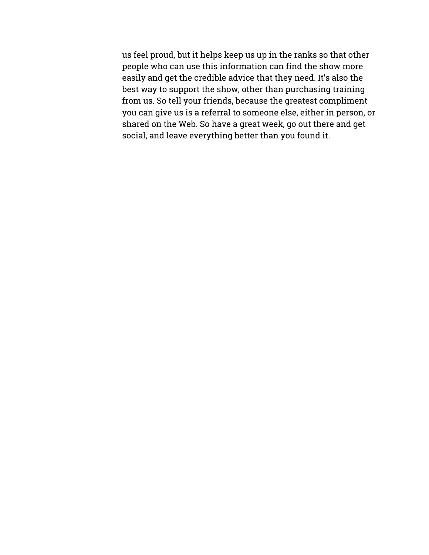us feel proud, but it helps keep us up in the ranks so that other people who can use this information can find the show more easily and get the credible advice that they need. It's also the best way to support the show, other than purchasing training from us. So tell your friends, because the greatest compliment you can give us is a referral to someone else, either in person, or shared on the Web. So have a great week, go out there and get social, and leave everything better than you found it.